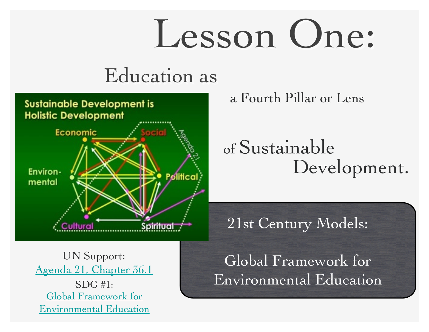# Lesson One:

#### Education as



a Fourth Pillar or Lens

#### of Sustainable Development.

21st Century Models:

UN Support: Agenda 21, Chapter 36.1  $SDG#1$ : Global Framework for Environmental Education

Global Framework for Environmental Education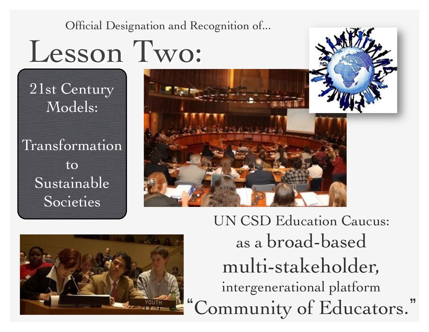Official Designation and Recognition of...

### Lesson Two:

21st Century Models:

Transformation to Sustainable Societies





UN CSD Education Caucus: as a broad-based multi-stakeholder, intergenerational platform Community of Educators."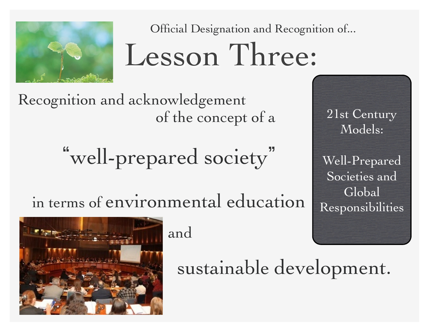

Official Designation and Recognition of...

## Lesson Three:

Recognition and acknowledgement of the concept of a 21st Century

"well-prepared society"

in terms of environmental education

Models:

Well-Prepared Societies and Global Responsibilities



and

sustainable development.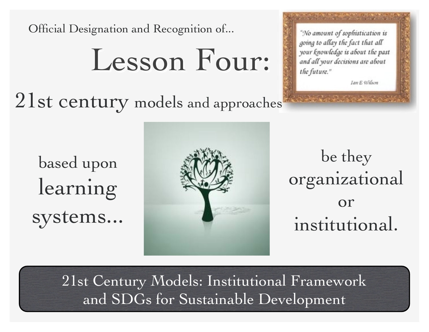Official Designation and Recognition of...

### Lesson Four:

21st century models and approaches

"No amount of sophistication is going to allay the fact that all your knowledge is about the past and all your decisions are about the future."

Ian E Wilson

based upon learning systems...



be they organizational or institutional.

21st Century Models: Institutional Framework and SDGs for Sustainable Development